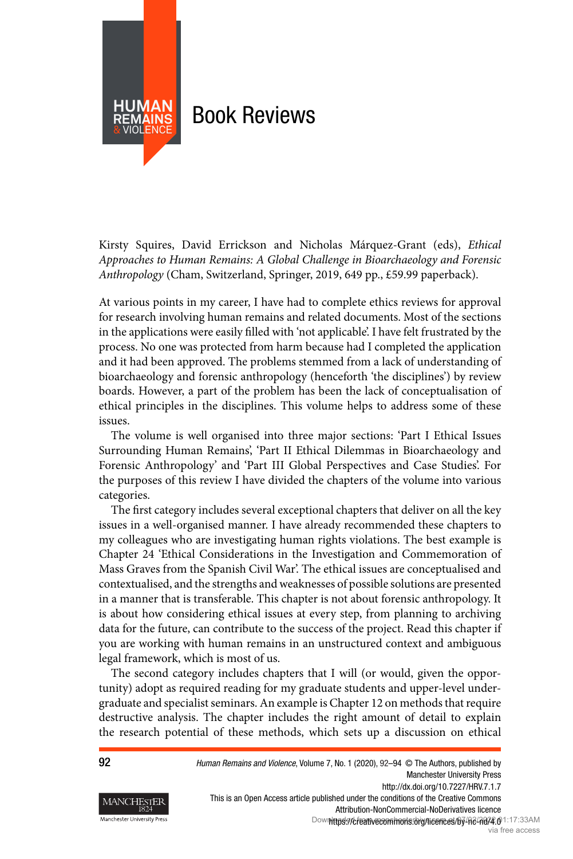<span id="page-0-0"></span>

Kirsty Squires, David Errickson and Nicholas Márquez-Grant (eds), Ethical Approaches to Human Remains: A Global Challenge in Bioarchaeology and Forensic Anthropology (Cham, Switzerland, Springer, 2019, 649 pp., £59.99 paperback).

At various points in my career, I have had to complete ethics reviews for approval for research involving human remains and related documents. Most of the sections in the applications were easily filled with 'not applicable'. I have felt frustrated by the process. No one was protected from harm because had I completed the application and it had been approved. The problems stemmed from a lack of understanding of bioarchaeology and forensic anthropology (henceforth 'the disciplines') by review boards. However, a part of the problem has been the lack of conceptualisation of ethical principles in the disciplines. This volume helps to address some of these issues.

The volume is well organised into three major sections: 'Part I Ethical Issues Surrounding Human Remains', 'Part II Ethical Dilemmas in Bioarchaeology and Forensic Anthropology' and 'Part III Global Perspectives and Case Studies'. For the purposes of this review I have divided the chapters of the volume into various categories.

The first category includes several exceptional chapters that deliver on all the key issues in a well-organised manner. I have already recommended these chapters to my colleagues who are investigating human rights violations. The best example is Chapter 24 'Ethical Considerations in the Investigation and Commemoration of Mass Graves from the Spanish Civil War'. The ethical issues are conceptualised and contextualised, and the strengths and weaknesses of possible solutions are presented in a manner that is transferable. This chapter is not about forensic anthropology. It is about how considering ethical issues at every step, from planning to archiving data for the future, can contribute to the success of the project. Read this chapter if you are working with human remains in an unstructured context and ambiguous legal framework, which is most of us.

The second category includes chapters that I will (or would, given the opportunity) adopt as required reading for my graduate students and upper-level undergraduate and specialist seminars. An example is Chapter 12 on methods that require destructive analysis. The chapter includes the right amount of detail to explain the research potential of these methods, which sets up a discussion on ethical



92 Human Remains and Violence, Volume 7, No. 1 (2020), 92-94 © The Authors, published by Manchester University Press http://dx.doi.org/10.7227/HRV.7.1.7 This is an Open Access article published under the conditions of the Creative Commons Attribution-NonCommercial-NoDerivatives licence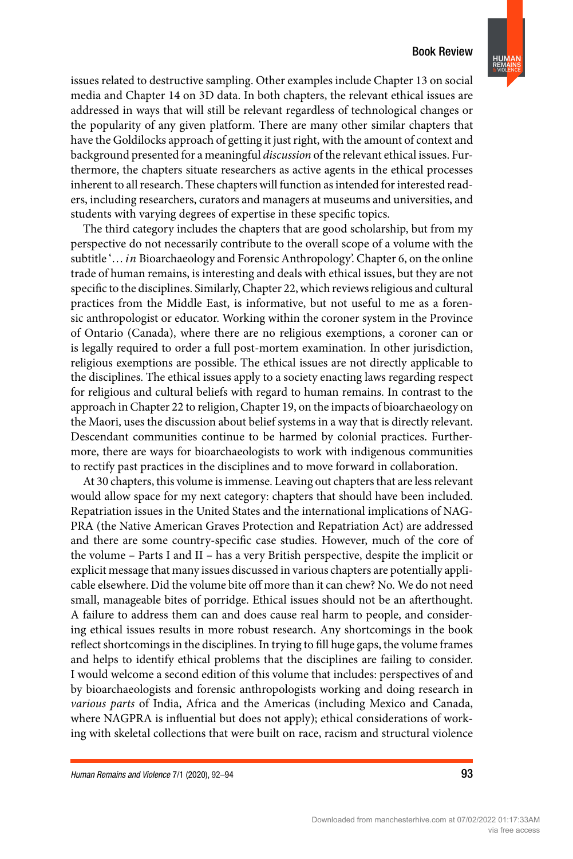## **Book Review**



issues related to destructive sampling. Other examples include Chapter 13 on social media and Chapter 14 on 3D data. In both chapters, the relevant ethical issues are addressed in ways that will still be relevant regardless of technological changes or the popularity of any given platform. There are many other similar chapters that have the Goldilocks approach of getting it just right, with the amount of context and background presented for a meaningful *discussion* of the relevant ethical issues. Furthermore, the chapters situate researchers as active agents in the ethical processes inherent to all research. These chapters will function as intended for interested readers, including researchers, curators and managers at museums and universities, and students with varying degrees of expertise in these specific topics.

The third category includes the chapters that are good scholarship, but from my perspective do not necessarily contribute to the overall scope of a volume with the subtitle '… *in* Bioarchaeology and Forensic Anthropology'. Chapter 6, on the online trade of human remains, is interesting and deals with ethical issues, but they are not specific to the disciplines. Similarly, Chapter 22, which reviews religious and cultural practices from the Middle East, is informative, but not useful to me as a forensic anthropologist or educator. Working within the coroner system in the Province of Ontario (Canada), where there are no religious exemptions, a coroner can or is legally required to order a full post-mortem examination. In other jurisdiction, religious exemptions are possible. The ethical issues are not directly applicable to the disciplines. The ethical issues apply to a society enacting laws regarding respect for religious and cultural beliefs with regard to human remains. In contrast to the approach in Chapter 22 to religion, Chapter 19, on the impacts of bioarchaeology on the Maori, uses the discussion about belief systems in a way that is directly relevant. Descendant communities continue to be harmed by colonial practices. Furthermore, there are ways for bioarchaeologists to work with indigenous communities to rectify past practices in the disciplines and to move forward in collaboration.

At 30 chapters, this volume is immense. Leaving out chapters that are less relevant would allow space for my next category: chapters that should have been included. Repatriation issues in the United States and the international implications of NAG-PRA (the Native American Graves Protection and Repatriation Act) are addressed and there are some country-specific case studies. However, much of the core of the volume – Parts I and II – has a very British perspective, despite the implicit or explicit message that many issues discussed in various chapters are potentially applicable elsewhere. Did the volume bite off more than it can chew? No. We do not need small, manageable bites of porridge. Ethical issues should not be an afterthought. A failure to address them can and does cause real harm to people, and considering ethical issues results in more robust research. Any shortcomings in the book reflect shortcomings in the disciplines. In trying to fill huge gaps, the volume frames and helps to identify ethical problems that the disciplines are failing to consider. I would welcome a second edition of this volume that includes: perspectives of and by bioarchaeologists and forensic anthropologists working and doing research in various parts of India, Africa and the Americas (including Mexico and Canada, where NAGPRA is influential but does not apply); ethical considerations of working with skeletal collections that were built on race, racism and structural violence